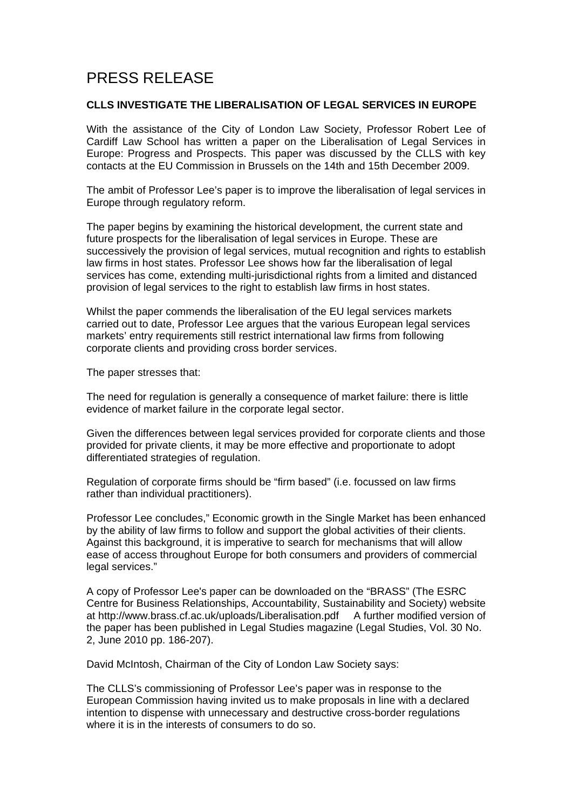## PRESS RELEASE

## **CLLS INVESTIGATE THE LIBERALISATION OF LEGAL SERVICES IN EUROPE**

With the assistance of the City of London Law Society, Professor Robert Lee of Cardiff Law School has written a paper on the Liberalisation of Legal Services in Europe: Progress and Prospects. This paper was discussed by the CLLS with key contacts at the EU Commission in Brussels on the 14th and 15th December 2009.

The ambit of Professor Lee's paper is to improve the liberalisation of legal services in Europe through regulatory reform.

The paper begins by examining the historical development, the current state and future prospects for the liberalisation of legal services in Europe. These are successively the provision of legal services, mutual recognition and rights to establish law firms in host states. Professor Lee shows how far the liberalisation of legal services has come, extending multi-jurisdictional rights from a limited and distanced provision of legal services to the right to establish law firms in host states.

Whilst the paper commends the liberalisation of the EU legal services markets carried out to date, Professor Lee argues that the various European legal services markets' entry requirements still restrict international law firms from following corporate clients and providing cross border services.

The paper stresses that:

The need for regulation is generally a consequence of market failure: there is little evidence of market failure in the corporate legal sector.

Given the differences between legal services provided for corporate clients and those provided for private clients, it may be more effective and proportionate to adopt differentiated strategies of regulation.

Regulation of corporate firms should be "firm based" (i.e. focussed on law firms rather than individual practitioners).

Professor Lee concludes," Economic growth in the Single Market has been enhanced by the ability of law firms to follow and support the global activities of their clients. Against this background, it is imperative to search for mechanisms that will allow ease of access throughout Europe for both consumers and providers of commercial legal services."

A copy of Professor Lee's paper can be downloaded on the "BRASS" (The ESRC Centre for Business Relationships, Accountability, Sustainability and Society) website at<http://www.brass.cf.ac.uk/uploads/Liberalisation.pdf>A further modified version of the paper has been published in Legal Studies magazine (Legal Studies, Vol. 30 No. 2, June 2010 pp. 186-207).

David McIntosh, Chairman of the City of London Law Society says:

The CLLS's commissioning of Professor Lee's paper was in response to the European Commission having invited us to make proposals in line with a declared intention to dispense with unnecessary and destructive cross-border regulations where it is in the interests of consumers to do so.